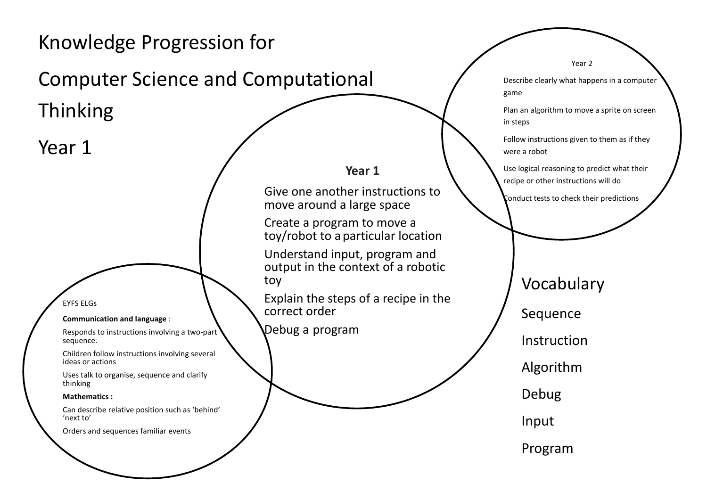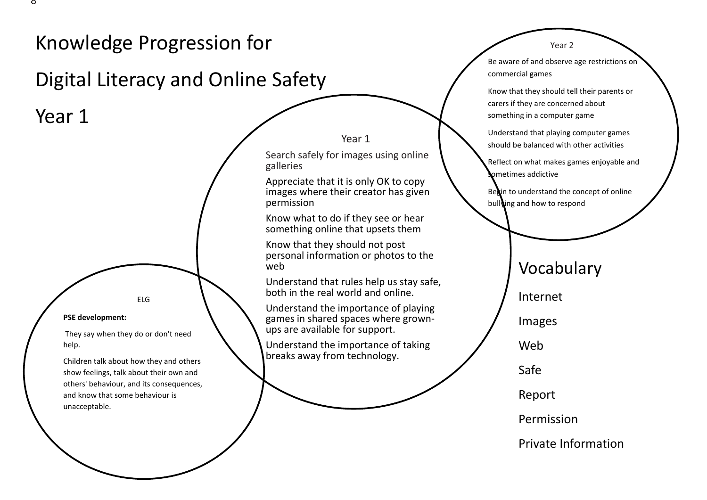